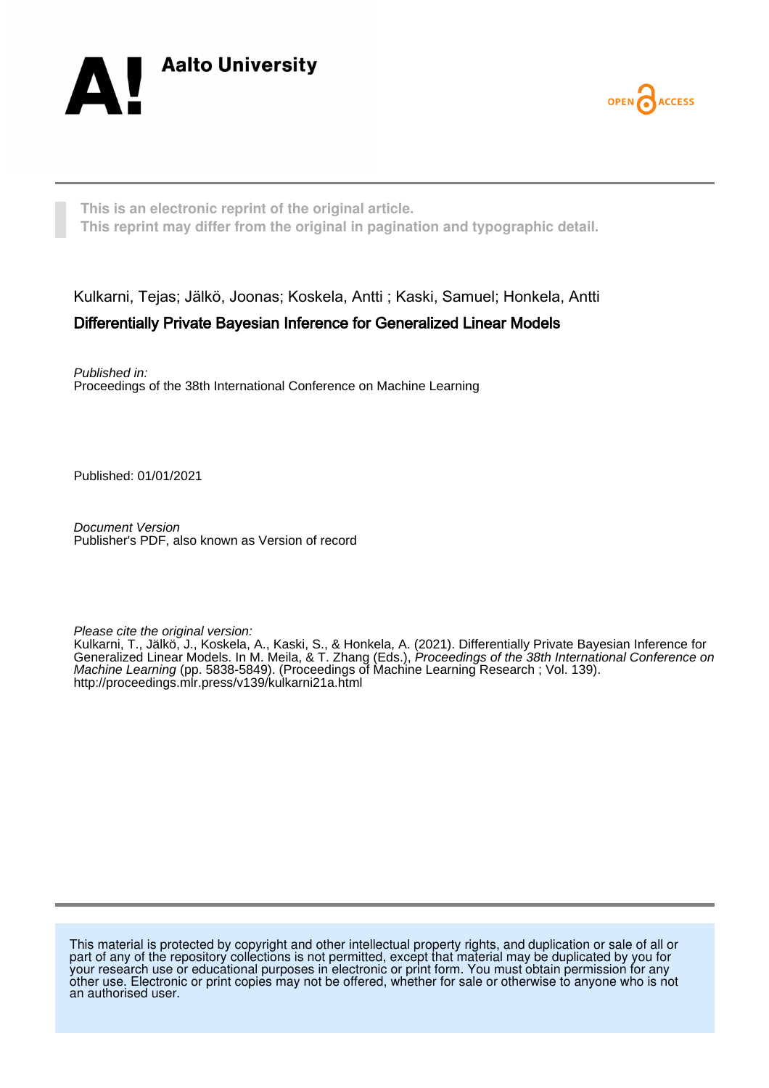



**This is an electronic reprint of the original article. This reprint may differ from the original in pagination and typographic detail.**

Kulkarni, Tejas; Jälkö, Joonas; Koskela, Antti ; Kaski, Samuel; Honkela, Antti Differentially Private Bayesian Inference for Generalized Linear Models

Published in: Proceedings of the 38th International Conference on Machine Learning

Published: 01/01/2021

Document Version Publisher's PDF, also known as Version of record

Please cite the original version:

Kulkarni, T., Jälkö, J., Koskela, A., Kaski, S., & Honkela, A. (2021). Differentially Private Bayesian Inference for Generalized Linear Models. In M. Meila, & T. Zhang (Eds.), Proceedings of the 38th International Conference on Machine Learning (pp. 5838-5849). (Proceedings of Machine Learning Research ; Vol. 139). <http://proceedings.mlr.press/v139/kulkarni21a.html>

This material is protected by copyright and other intellectual property rights, and duplication or sale of all or part of any of the repository collections is not permitted, except that material may be duplicated by you for your research use or educational purposes in electronic or print form. You must obtain permission for any other use. Electronic or print copies may not be offered, whether for sale or otherwise to anyone who is not an authorised user.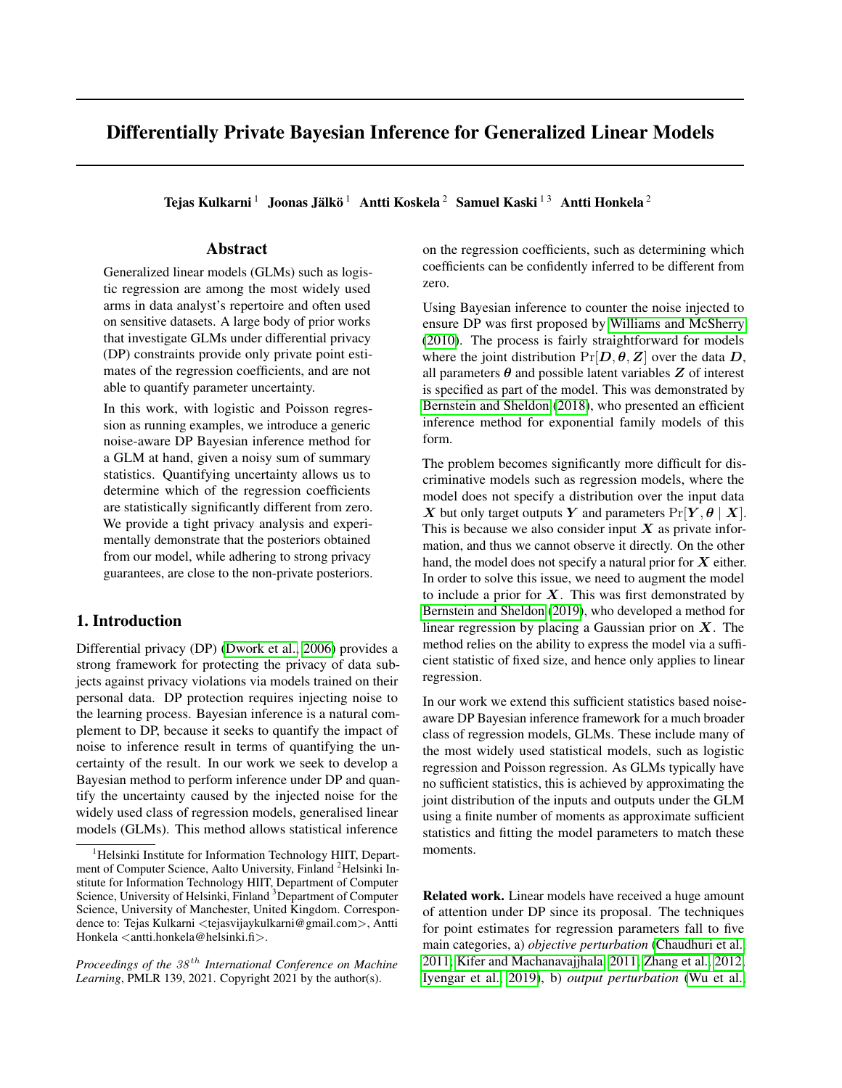# Differentially Private Bayesian Inference for Generalized Linear Models

Tejas Kulkarni  $^1\,$  Joonas Jälkö $^1\,$  Antti Koskela $^2\,$  Samuel Kaski $^{1\,3}\,$  Antti Honkela $^2\,$ 

# Abstract

Generalized linear models (GLMs) such as logistic regression are among the most widely used arms in data analyst's repertoire and often used on sensitive datasets. A large body of prior works that investigate GLMs under differential privacy (DP) constraints provide only private point estimates of the regression coefficients, and are not able to quantify parameter uncertainty.

In this work, with logistic and Poisson regression as running examples, we introduce a generic noise-aware DP Bayesian inference method for a GLM at hand, given a noisy sum of summary statistics. Quantifying uncertainty allows us to determine which of the regression coefficients are statistically significantly different from zero. We provide a tight privacy analysis and experimentally demonstrate that the posteriors obtained from our model, while adhering to strong privacy guarantees, are close to the non-private posteriors.

# 1. Introduction

Differential privacy (DP) [\(Dwork et al., 2006\)](#page-10-0) provides a strong framework for protecting the privacy of data subjects against privacy violations via models trained on their personal data. DP protection requires injecting noise to the learning process. Bayesian inference is a natural complement to DP, because it seeks to quantify the impact of noise to inference result in terms of quantifying the uncertainty of the result. In our work we seek to develop a Bayesian method to perform inference under DP and quantify the uncertainty caused by the injected noise for the widely used class of regression models, generalised linear models (GLMs). This method allows statistical inference

on the regression coefficients, such as determining which coefficients can be confidently inferred to be different from zero.

Using Bayesian inference to counter the noise injected to ensure DP was first proposed by [Williams and McSherry](#page-12-0) [\(2010\)](#page-12-0). The process is fairly straightforward for models where the joint distribution  $Pr[D, \theta, Z]$  over the data D, all parameters  $\theta$  and possible latent variables  $Z$  of interest is specified as part of the model. This was demonstrated by [Bernstein and Sheldon](#page-10-1) [\(2018\)](#page-10-1), who presented an efficient inference method for exponential family models of this form.

The problem becomes significantly more difficult for discriminative models such as regression models, where the model does not specify a distribution over the input data X but only target outputs Y and parameters  $Pr[Y, \theta | X]$ . This is because we also consider input  $X$  as private information, and thus we cannot observe it directly. On the other hand, the model does not specify a natural prior for  $X$  either. In order to solve this issue, we need to augment the model to include a prior for  $X$ . This was first demonstrated by [Bernstein and Sheldon](#page-10-2) [\(2019\)](#page-10-2), who developed a method for linear regression by placing a Gaussian prior on  $X$ . The method relies on the ability to express the model via a sufficient statistic of fixed size, and hence only applies to linear regression.

In our work we extend this sufficient statistics based noiseaware DP Bayesian inference framework for a much broader class of regression models, GLMs. These include many of the most widely used statistical models, such as logistic regression and Poisson regression. As GLMs typically have no sufficient statistics, this is achieved by approximating the joint distribution of the inputs and outputs under the GLM using a finite number of moments as approximate sufficient statistics and fitting the model parameters to match these moments.

Related work. Linear models have received a huge amount of attention under DP since its proposal. The techniques for point estimates for regression parameters fall to five main categories, a) *objective perturbation* [\(Chaudhuri et al.,](#page-10-3) [2011;](#page-10-3) [Kifer and Machanavajjhala, 2011;](#page-11-0) [Zhang et al., 2012;](#page-12-1) [Iyengar et al., 2019\)](#page-10-4), b) *output perturbation* [\(Wu et al.,](#page-12-2)

<sup>&</sup>lt;sup>1</sup>Helsinki Institute for Information Technology HIIT, Department of Computer Science, Aalto University, Finland <sup>2</sup>Helsinki Institute for Information Technology HIIT, Department of Computer Science, University of Helsinki, Finland <sup>3</sup>Department of Computer Science, University of Manchester, United Kingdom. Correspondence to: Tejas Kulkarni <tejasvijaykulkarni@gmail.com>, Antti Honkela <antti.honkela@helsinki.fi>.

*Proceedings of the*  $38<sup>th</sup>$  *International Conference on Machine Learning*, PMLR 139, 2021. Copyright 2021 by the author(s).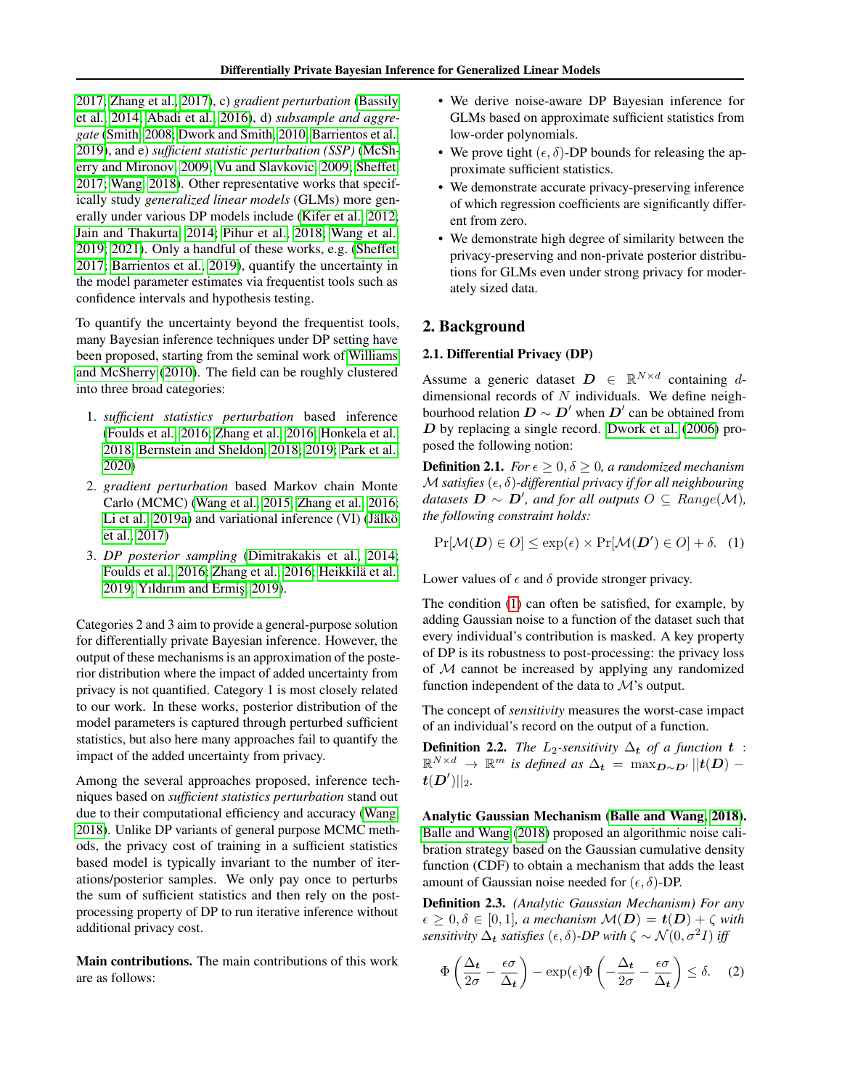[2017;](#page-12-2) [Zhang et al., 2017\)](#page-12-3), c) *gradient perturbation* [\(Bassily](#page-10-5) [et al., 2014;](#page-10-5) [Abadi et al., 2016\)](#page-10-6), d) *subsample and aggregate* [\(Smith, 2008;](#page-11-1) [Dwork and Smith, 2010;](#page-10-7) [Barrientos et al.,](#page-10-8) [2019\)](#page-10-8), and e) *sufficient statistic perturbation (SSP)* [\(McSh](#page-11-2)[erry and Mironov, 2009;](#page-11-2) [Vu and Slavkovic, 2009;](#page-11-3) [Sheffet,](#page-11-4) [2017;](#page-11-4) [Wang, 2018\)](#page-11-5). Other representative works that specifically study *generalized linear models* (GLMs) more generally under various DP models include [\(Kifer et al., 2012;](#page-11-6) [Jain and Thakurta, 2014;](#page-10-9) [Pihur et al., 2018;](#page-11-7) [Wang et al.,](#page-11-8) [2019;](#page-11-8) [2021\)](#page-11-9). Only a handful of these works, e.g. [\(Sheffet,](#page-11-4) [2017;](#page-11-4) [Barrientos et al., 2019\)](#page-10-8), quantify the uncertainty in the model parameter estimates via frequentist tools such as confidence intervals and hypothesis testing.

To quantify the uncertainty beyond the frequentist tools, many Bayesian inference techniques under DP setting have been proposed, starting from the seminal work of [Williams](#page-12-0) [and McSherry](#page-12-0) [\(2010\)](#page-12-0). The field can be roughly clustered into three broad categories:

- 1. *sufficient statistics perturbation* based inference [\(Foulds et al., 2016;](#page-10-10) [Zhang et al., 2016;](#page-12-4) [Honkela et al.,](#page-10-11) [2018;](#page-10-11) [Bernstein and Sheldon, 2018;](#page-10-1) [2019;](#page-10-2) [Park et al.,](#page-11-10) [2020\)](#page-11-10)
- 2. *gradient perturbation* based Markov chain Monte Carlo (MCMC) [\(Wang et al., 2015;](#page-11-11) [Zhang et al., 2016;](#page-12-4) Li et al.,  $2019a$ ) and variational inference (VI) (Jälkö [et al., 2017\)](#page-11-13)
- 3. *DP posterior sampling* [\(Dimitrakakis et al., 2014;](#page-10-12) [Foulds et al., 2016;](#page-10-10) [Zhang et al., 2016;](#page-12-4) Heikkilä et al., [2019;](#page-10-13) [Yıldırım and Ermis¸, 2019\)](#page-12-5).

Categories 2 and 3 aim to provide a general-purpose solution for differentially private Bayesian inference. However, the output of these mechanisms is an approximation of the posterior distribution where the impact of added uncertainty from privacy is not quantified. Category 1 is most closely related to our work. In these works, posterior distribution of the model parameters is captured through perturbed sufficient statistics, but also here many approaches fail to quantify the impact of the added uncertainty from privacy.

Among the several approaches proposed, inference techniques based on *sufficient statistics perturbation* stand out due to their computational efficiency and accuracy [\(Wang,](#page-11-5) [2018\)](#page-11-5). Unlike DP variants of general purpose MCMC methods, the privacy cost of training in a sufficient statistics based model is typically invariant to the number of iterations/posterior samples. We only pay once to perturbs the sum of sufficient statistics and then rely on the postprocessing property of DP to run iterative inference without additional privacy cost.

Main contributions. The main contributions of this work are as follows:

- We derive noise-aware DP Bayesian inference for GLMs based on approximate sufficient statistics from low-order polynomials.
- We prove tight  $(\epsilon, \delta)$ -DP bounds for releasing the approximate sufficient statistics.
- We demonstrate accurate privacy-preserving inference of which regression coefficients are significantly different from zero.
- We demonstrate high degree of similarity between the privacy-preserving and non-private posterior distributions for GLMs even under strong privacy for moderately sized data.

# 2. Background

### <span id="page-2-2"></span>2.1. Differential Privacy (DP)

Assume a generic dataset  $D \in \mathbb{R}^{N \times d}$  containing ddimensional records of  $N$  individuals. We define neighbourhood relation  $D \sim D'$  when  $D'$  can be obtained from  $D$  by replacing a single record. [Dwork et al.](#page-10-0) [\(2006\)](#page-10-0) proposed the following notion:

**Definition 2.1.** *For*  $\epsilon \geq 0, \delta \geq 0$ *, a randomized mechanism*  $M$  *satisfies*  $(\epsilon, \delta)$ -differential privacy if for all neighbouring  $d{\text{at}} \text{a} \text{.}$   $\mathbf{B} \sim \mathbf{D}'$ , and for all outputs  $O \subseteq Range(\mathcal{M})$ , *the following constraint holds:*

<span id="page-2-0"></span>
$$
\Pr[\mathcal{M}(\mathbf{D}) \in O] \le \exp(\epsilon) \times \Pr[\mathcal{M}(\mathbf{D}') \in O] + \delta. \quad (1)
$$

Lower values of  $\epsilon$  and  $\delta$  provide stronger privacy.

The condition [\(1\)](#page-2-0) can often be satisfied, for example, by adding Gaussian noise to a function of the dataset such that every individual's contribution is masked. A key property of DP is its robustness to post-processing: the privacy loss of M cannot be increased by applying any randomized function independent of the data to M's output.

The concept of *sensitivity* measures the worst-case impact of an individual's record on the output of a function.

**Definition 2.2.** *The*  $L_2$ -sensitivity  $\Delta_t$  *of a function*  $t$  :  $\mathbb{R}^{N \times d} \rightarrow \mathbb{R}^m$  *is defined as*  $\Delta_t = \max_{D \sim D'} ||t(D) \boldsymbol{t}(\boldsymbol{D}')||_2.$ 

Analytic Gaussian Mechanism [\(Balle and Wang, 2018\)](#page-10-14). [Balle and Wang](#page-10-14) [\(2018\)](#page-10-14) proposed an algorithmic noise calibration strategy based on the Gaussian cumulative density function (CDF) to obtain a mechanism that adds the least amount of Gaussian noise needed for  $(\epsilon, \delta)$ -DP.

Definition 2.3. *(Analytic Gaussian Mechanism) For any*  $\epsilon \geq 0, \delta \in [0, 1]$ , a mechanism  $\mathcal{M}(D) = t(D) + \zeta$  with *sensitivity*  $\Delta_t$  *satisfies*  $(\epsilon, \delta)$ -DP with  $\zeta \sim \mathcal{N}(0, \sigma^2 I)$  iff

<span id="page-2-1"></span>
$$
\Phi\left(\frac{\Delta_t}{2\sigma} - \frac{\epsilon\sigma}{\Delta_t}\right) - \exp(\epsilon)\Phi\left(-\frac{\Delta_t}{2\sigma} - \frac{\epsilon\sigma}{\Delta_t}\right) \le \delta. \quad (2)
$$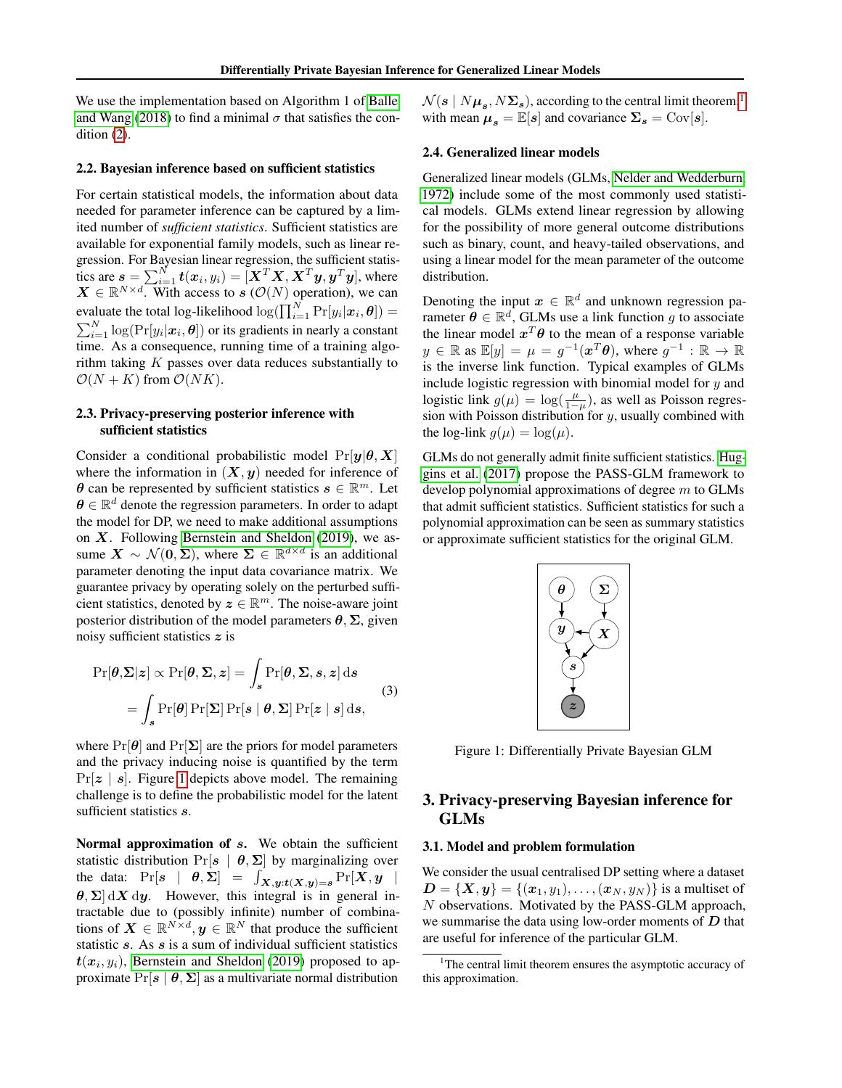We use the implementation based on Algorithm 1 of [Balle](#page-10-14) [and Wang](#page-10-14) [\(2018\)](#page-10-14) to find a minimal  $\sigma$  that satisfies the condition  $(2)$ .

#### 2.2. Bayesian inference based on sufficient statistics

For certain statistical models, the information about data needed for parameter inference can be captured by a limited number of *sufficient statistics*. Sufficient statistics are available for exponential family models, such as linear regression. For Bayesian linear regression, the sufficient statistics are  $\boldsymbol{s} = \sum_{i=1}^N \boldsymbol{t}(\boldsymbol{x}_i, y_i) = [\boldsymbol{X}^T\boldsymbol{X}, \boldsymbol{X}^T\boldsymbol{y}, \boldsymbol{y}^T\boldsymbol{y}],$  where  $\mathbf{X} \in \mathbb{R}^{N \times d}$ . With access to  $\mathbf{s}$  ( $\mathcal{O}(N)$  operation), we can evaluate the total log-likelihood  $\log(\prod_{i=1}^{N} \Pr[y_i | \bm{x}_i, \bm{\theta}] ) =$  $\sum_{i=1}^{N} \log(\Pr[y_i|\boldsymbol{x}_i, \boldsymbol{\theta}])$  or its gradients in nearly a constant time. As a consequence, running time of a training algorithm taking  $K$  passes over data reduces substantially to  $\mathcal{O}(N+K)$  from  $\mathcal{O}(NK)$ .

# 2.3. Privacy-preserving posterior inference with sufficient statistics

Consider a conditional probabilistic model  $Pr[y|\theta, X]$ where the information in  $(X, y)$  needed for inference of  $\theta$  can be represented by sufficient statistics  $s \in \mathbb{R}^m$ . Let  $\boldsymbol{\theta} \in \mathbb{R}^d$  denote the regression parameters. In order to adapt the model for DP, we need to make additional assumptions on  $X$ . Following [Bernstein and Sheldon](#page-10-2) [\(2019\)](#page-10-2), we assume  $X \sim \mathcal{N}(0, \Sigma)$ , where  $\Sigma \in \mathbb{R}^{d \times d}$  is an additional parameter denoting the input data covariance matrix. We guarantee privacy by operating solely on the perturbed sufficient statistics, denoted by  $z \in \mathbb{R}^m$ . The noise-aware joint posterior distribution of the model parameters  $\theta$ ,  $\Sigma$ , given noisy sufficient statistics z is

$$
\Pr[\theta, \Sigma | z] \propto \Pr[\theta, \Sigma, z] = \int_s \Pr[\theta, \Sigma, s, z] ds
$$
  
= 
$$
\int_s \Pr[\theta] \Pr[\Sigma] \Pr[s \mid \theta, \Sigma] \Pr[z \mid s] ds,
$$
 (3)

where  $Pr[\theta]$  and  $Pr[\Sigma]$  are the priors for model parameters and the privacy inducing noise is quantified by the term  $Pr[z \mid s]$ . Figure [1](#page-3-0) depicts above model. The remaining challenge is to define the probabilistic model for the latent sufficient statistics s.

Normal approximation of s. We obtain the sufficient statistic distribution Pr[ $s | \theta, \Sigma$ ] by marginalizing over the data:  $Pr[s \mid \theta, \Sigma] = \int_{X,y:t(X,y)=s} Pr[X, y]$  $\theta$ ,  $\Sigma$  dX dy. However, this integral is in general intractable due to (possibly infinite) number of combinations of  $\mathbf{X} \in \mathbb{R}^{N \times d}$ ,  $\mathbf{y} \in \mathbb{R}^{N}$  that produce the sufficient statistic  $s$ . As  $s$  is a sum of individual sufficient statistics  $t(x_i, y_i)$ , [Bernstein and Sheldon](#page-10-2) [\(2019\)](#page-10-2) proposed to approximate  $Pr[s | \theta, \Sigma]$  as a multivariate normal distribution

 $\mathcal{N}(\bm{s} \mid N \bm{\mu_s}, N \bm{\Sigma_s})$ , according to the central limit theorem, $^1$  $^1$ with mean  $\mu_s = \mathbb{E}[s]$  and covariance  $\Sigma_s = \text{Cov}[s]$ .

#### 2.4. Generalized linear models

Generalized linear models (GLMs, [Nelder and Wedderburn,](#page-11-14) [1972\)](#page-11-14) include some of the most commonly used statistical models. GLMs extend linear regression by allowing for the possibility of more general outcome distributions such as binary, count, and heavy-tailed observations, and using a linear model for the mean parameter of the outcome distribution.

Denoting the input  $x \in \mathbb{R}^d$  and unknown regression parameter  $\boldsymbol{\theta} \in \mathbb{R}^d$ , GLMs use a link function g to associate the linear model  $x^T \theta$  to the mean of a response variable  $y \in \mathbb{R}$  as  $\mathbb{E}[y] = \mu = g^{-1}(\boldsymbol{x}^T \boldsymbol{\theta}),$  where  $g^{-1} : \mathbb{R} \to \mathbb{R}$ is the inverse link function. Typical examples of GLMs include logistic regression with binomial model for  $y$  and logistic link  $g(\mu) = \log(\frac{\mu}{1-\mu})$ , as well as Poisson regression with Poisson distribution for  $y$ , usually combined with the log-link  $q(\mu) = \log(\mu)$ .

<span id="page-3-0"></span>GLMs do not generally admit finite sufficient statistics. [Hug](#page-10-15)[gins et al.](#page-10-15) [\(2017\)](#page-10-15) propose the PASS-GLM framework to develop polynomial approximations of degree  $m$  to GLMs that admit sufficient statistics. Sufficient statistics for such a polynomial approximation can be seen as summary statistics or approximate sufficient statistics for the original GLM.



Figure 1: Differentially Private Bayesian GLM

# 3. Privacy-preserving Bayesian inference for GLMs

### 3.1. Model and problem formulation

We consider the usual centralised DP setting where a dataset  $D = \{X, y\} = \{(x_1, y_1), \ldots, (x_N, y_N)\}\)$  is a multiset of N observations. Motivated by the PASS-GLM approach, we summarise the data using low-order moments of  $D$  that are useful for inference of the particular GLM.

<span id="page-3-1"></span> $1$ <sup>1</sup>The central limit theorem ensures the asymptotic accuracy of this approximation.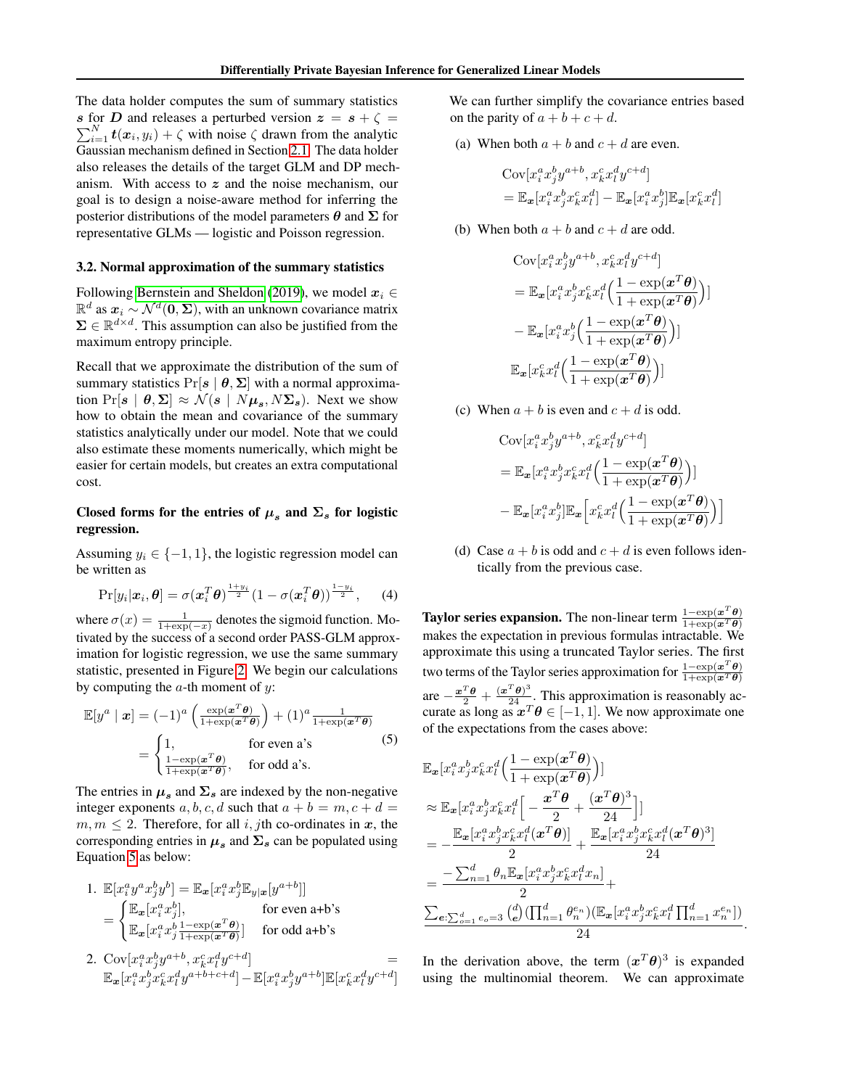The data holder computes the sum of summary statistics s for D and releases a perturbed version  $z = s + \zeta =$  $\sum_{i=1}^{N} t(x_i, y_i) + \zeta$  with noise  $\zeta$  drawn from the analytic Gaussian mechanism defined in Section [2.1.](#page-2-2) The data holder also releases the details of the target GLM and DP mechanism. With access to  $z$  and the noise mechanism, our goal is to design a noise-aware method for inferring the posterior distributions of the model parameters  $\theta$  and  $\Sigma$  for representative GLMs — logistic and Poisson regression.

#### 3.2. Normal approximation of the summary statistics

Following [Bernstein and Sheldon](#page-10-2) [\(2019\)](#page-10-2), we model  $x_i \in$  $\mathbb{R}^d$  as  $x_i \sim \mathcal{N}^d(\mathbf{0}, \Sigma)$ , with an unknown covariance matrix  $\Sigma \in \mathbb{R}^{d \times d}$ . This assumption can also be justified from the maximum entropy principle.

Recall that we approximate the distribution of the sum of summary statistics  $Pr[s | \theta, \Sigma]$  with a normal approximation  $Pr[s | \theta, \Sigma] \approx \mathcal{N}(s | N\mu_s, N\Sigma_s)$ . Next we show how to obtain the mean and covariance of the summary statistics analytically under our model. Note that we could also estimate these moments numerically, which might be easier for certain models, but creates an extra computational cost.

# Closed forms for the entries of  $\mu_s$  and  $\Sigma_s$  for logistic regression.

Assuming  $y_i \in \{-1, 1\}$ , the logistic regression model can be written as

$$
\Pr[y_i|\boldsymbol{x}_i,\boldsymbol{\theta}] = \sigma(\boldsymbol{x}_i^T\boldsymbol{\theta})^{\frac{1+y_i}{2}}(1-\sigma(\boldsymbol{x}_i^T\boldsymbol{\theta}))^{\frac{1-y_i}{2}},\qquad(4)
$$

where  $\sigma(x) = \frac{1}{1 + \exp(-x)}$  denotes the sigmoid function. Motivated by the success of a second order PASS-GLM approximation for logistic regression, we use the same summary statistic, presented in Figure [2.](#page-5-0) We begin our calculations by computing the  $a$ -th moment of  $y$ :

$$
\mathbb{E}[y^a \mid \boldsymbol{x}] = (-1)^a \left( \frac{\exp(\boldsymbol{x}^T \boldsymbol{\theta})}{1 + \exp(\boldsymbol{x}^T \boldsymbol{\theta})} \right) + (1)^a \frac{1}{1 + \exp(\boldsymbol{x}^T \boldsymbol{\theta})}
$$
\n
$$
= \begin{cases} 1, & \text{for even a's} \\ \frac{1 - \exp(\boldsymbol{x}^T \boldsymbol{\theta})}{1 + \exp(\boldsymbol{x}^T \boldsymbol{\theta})}, & \text{for odd a's.} \end{cases} (5)
$$

The entries in  $\mu_s$  and  $\Sigma_s$  are indexed by the non-negative integer exponents a, b, c, d such that  $a + b = m$ ,  $c + d =$  $m, m \leq 2$ . Therefore, for all i, jth co-ordinates in x, the corresponding entries in  $\mu_s$  and  $\Sigma_s$  can be populated using Equation [5](#page-4-0) as below:

1. 
$$
\mathbb{E}[x_i^a y^a x_j^b y^b] = \mathbb{E}_{\mathbf{x}}[x_i^a x_j^b \mathbb{E}_{y|\mathbf{x}}[y^{a+b}]]
$$
  
\n
$$
= \begin{cases} \mathbb{E}_{\mathbf{x}}[x_i^a x_j^b], & \text{for even } a+b \text{'s} \\ \mathbb{E}_{\mathbf{x}}[x_i^a x_j^b \frac{1-\exp(\mathbf{x}^T \boldsymbol{\theta})}{1+\exp(\mathbf{x}^T \boldsymbol{\theta})}] & \text{for odd } a+b \text{'s} \end{cases}
$$

2.  $Cov[x_i^a x_j^b y^{a+b}, x_k^c x_l^d y^{c+d}]$  =  $\mathbb{E}_{\boldsymbol{x}}[x_i^ax_j^bx_k^cx_l^dy^{a+b+c+d}] - \mathbb{E}[x_i^ax_j^by^{a+b}]\mathbb{E}[x_k^cx_l^dy^{c+d}]$  We can further simplify the covariance entries based on the parity of  $a + b + c + d$ .

(a) When both  $a + b$  and  $c + d$  are even.

$$
\begin{aligned} &\text{Cov}[x_i^a x_j^b y^{a+b}, x_k^c x_l^d y^{c+d}] \\ &= \mathbb{E}_{\mathbf{x}}[x_i^a x_j^b x_k^c x_l^d] - \mathbb{E}_{\mathbf{x}}[x_i^a x_j^b] \mathbb{E}_{\mathbf{x}}[x_k^c x_l^d] \end{aligned}
$$

]

(b) When both  $a + b$  and  $c + d$  are odd.

$$
\begin{aligned} &\text{Cov}[x_i^a x_j^b y^{a+b}, x_k^c x_l^d y^{c+d}] \\ &= \mathbb{E}_{\boldsymbol{x}}[x_i^a x_j^b x_k^c x_l^d \left( \frac{1 - \exp(\boldsymbol{x}^T \boldsymbol{\theta})}{1 + \exp(\boldsymbol{x}^T \boldsymbol{\theta})} \right)] \\ &- \mathbb{E}_{\boldsymbol{x}}[x_i^a x_j^b \left( \frac{1 - \exp(\boldsymbol{x}^T \boldsymbol{\theta})}{1 + \exp(\boldsymbol{x}^T \boldsymbol{\theta})} \right)] \\ &\mathbb{E}_{\boldsymbol{x}}[x_k^c x_l^d \left( \frac{1 - \exp(\boldsymbol{x}^T \boldsymbol{\theta})}{1 + \exp(\boldsymbol{x}^T \boldsymbol{\theta})} \right)] \end{aligned}
$$

(c) When  $a + b$  is even and  $c + d$  is odd.

$$
\begin{aligned} &\text{Cov}[x_i^a x_j^b y^{a+b}, x_k^c x_l^d y^{c+d}] \\ &= \mathbb{E}_{\boldsymbol{x}}[x_i^a x_j^b x_k^c x_l^d \left( \frac{1 - \exp(\boldsymbol{x}^T \boldsymbol{\theta})}{1 + \exp(\boldsymbol{x}^T \boldsymbol{\theta})} \right)] \\ &- \mathbb{E}_{\boldsymbol{x}}[x_i^a x_j^b] \mathbb{E}_{\boldsymbol{x}}\left[ x_k^c x_l^d \left( \frac{1 - \exp(\boldsymbol{x}^T \boldsymbol{\theta})}{1 + \exp(\boldsymbol{x}^T \boldsymbol{\theta})} \right) \right] \end{aligned}
$$

(d) Case  $a + b$  is odd and  $c + d$  is even follows identically from the previous case.

<span id="page-4-0"></span>**Taylor series expansion.** The non-linear term  $\frac{1-\exp(x^T\theta)}{1+\exp(x^T\theta)}$  $1+\exp(\boldsymbol{x}^T\boldsymbol{\theta})$ makes the expectation in previous formulas intractable. We approximate this using a truncated Taylor series. The first two terms of the Taylor series approximation for  $\frac{1-\exp(x^T\theta)}{1+\exp(x^T\theta)}$  $1+\exp(\boldsymbol{x}^T\boldsymbol{\theta})$ are  $-\frac{x^T\theta}{2} + \frac{(x^T\theta)^3}{24}$ . This approximation is reasonably accurate as long as  $x^T \theta \in [-1, 1]$ . We now approximate one of the expectations from the cases above:

$$
\mathbb{E}_{\mathbf{x}}[x_i^a x_j^b x_k^c x_l^d \left( \frac{1 - \exp(\mathbf{x}^T \boldsymbol{\theta})}{1 + \exp(\mathbf{x}^T \boldsymbol{\theta})} \right)]
$$
\n
$$
\approx \mathbb{E}_{\mathbf{x}}[x_i^a x_j^b x_k^c x_l^d \left[ -\frac{\mathbf{x}^T \boldsymbol{\theta}}{2} + \frac{(\mathbf{x}^T \boldsymbol{\theta})^3}{24} \right]]
$$
\n
$$
= -\frac{\mathbb{E}_{\mathbf{x}}[x_i^a x_j^b x_k^c x_l^d (\mathbf{x}^T \boldsymbol{\theta})]}{2} + \frac{\mathbb{E}_{\mathbf{x}}[x_i^a x_j^b x_k^c x_l^d (\mathbf{x}^T \boldsymbol{\theta})^3]}{24}
$$
\n
$$
= \frac{-\sum_{n=1}^d \theta_n \mathbb{E}_{\mathbf{x}}[x_i^a x_j^b x_k^c x_l^d x_n]}{2} + \frac{\sum_{e:\sum_{o=1}^d e_o = 3} {d_o \choose e} (\prod_{n=1}^d \theta_n^{e_n}) (\mathbb{E}_{\mathbf{x}}[x_i^a x_j^b x_k^c x_l^d \prod_{n=1}^d x_n^{e_n}])}{24}.
$$

In the derivation above, the term  $(x^T \theta)^3$  is expanded using the multinomial theorem. We can approximate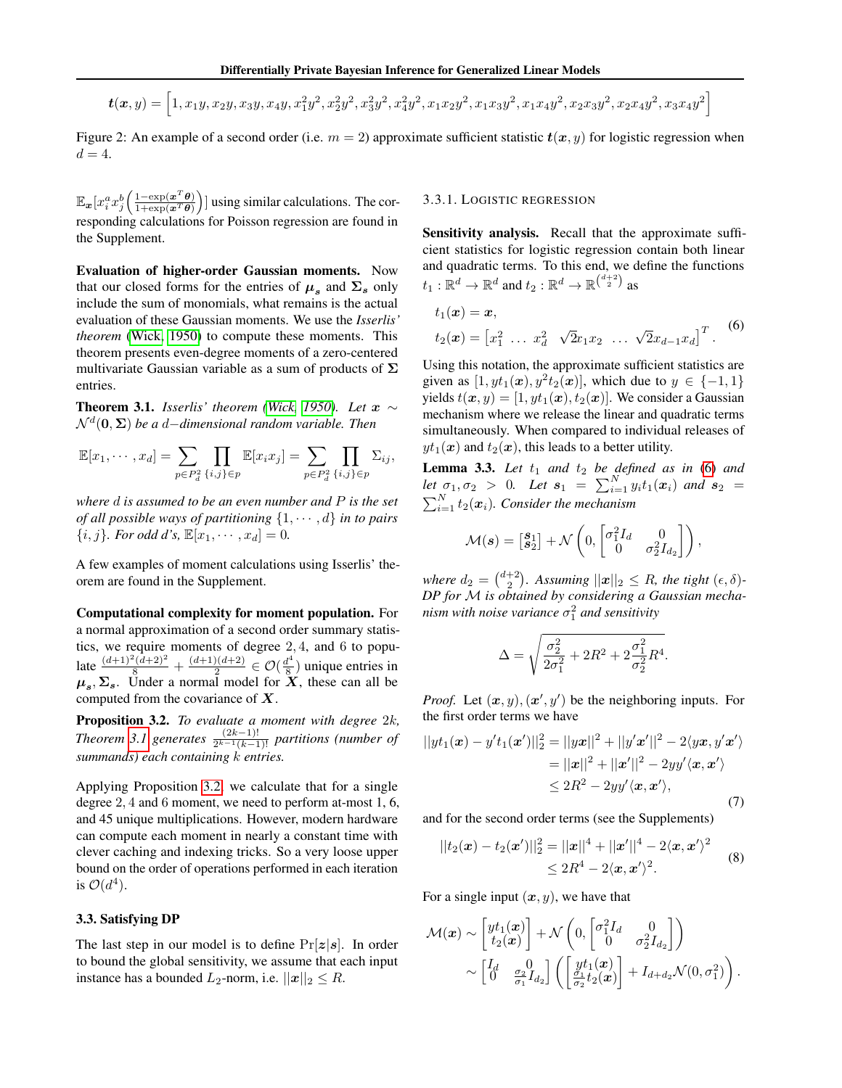<span id="page-5-0"></span>
$$
\boldsymbol{t}(\boldsymbol{x},y) = \left[1, x_1y, x_2y, x_3y, x_4y, x_1^2y^2, x_2^2y^2, x_3^2y^2, x_4^2y^2, x_1x_2y^2, x_1x_3y^2, x_1x_4y^2, x_2x_3y^2, x_2x_4y^2, x_3x_4y^2\right]
$$

Figure 2: An example of a second order (i.e.  $m = 2$ ) approximate sufficient statistic  $t(x, y)$  for logistic regression when  $d=4$ .

 $\mathbb{E}_{\bm{x}}[x_i^a x_j^b \left( \frac{1-\exp(\bm{x}^T\bm{\theta})}{1+\exp(\bm{x}^T\bm{\theta})} \right)]$  $\frac{1-\exp(x^T\theta)}{1+\exp(x^T\theta)}$  using similar calculations. The corresponding calculations for Poisson regression are found in the Supplement.

Evaluation of higher-order Gaussian moments. Now that our closed forms for the entries of  $\mu_s$  and  $\Sigma_s$  only include the sum of monomials, what remains is the actual evaluation of these Gaussian moments. We use the *Isserlis' theorem* [\(Wick, 1950\)](#page-12-6) to compute these moments. This theorem presents even-degree moments of a zero-centered multivariate Gaussian variable as a sum of products of  $\Sigma$ entries.

<span id="page-5-1"></span>**Theorem 3.1.** *Isserlis' theorem [\(Wick, 1950\)](#page-12-6). Let*  $x \sim$ N <sup>d</sup> (0, Σ) *be a* d−*dimensional random variable. Then*

$$
\mathbb{E}[x_1,\dots,x_d]=\sum_{p\in P_d^2}\prod_{\{i,j\}\in p}\mathbb{E}[x_ix_j]=\sum_{p\in P_d^2}\prod_{\{i,j\}\in p}\Sigma_{ij},
$$

*where* d *is assumed to be an even number and* P *is the set of all possible ways of partitioning*  $\{1, \dots, d\}$  *in to pairs*  $\{i, j\}$ *. For odd d's,*  $\mathbb{E}[x_1, \dots, x_d] = 0$ *.* 

A few examples of moment calculations using Isserlis' theorem are found in the Supplement.

Computational complexity for moment population. For a normal approximation of a second order summary statistics, we require moments of degree 2, 4, and 6 to populate  $\frac{(d+1)^2(d+2)^2}{8} + \frac{(d+1)(d+2)}{2}$  $\frac{2^{(d+2)}}{2} \in \mathcal{O}(\frac{d^4}{8})$  $\frac{d^4}{8}$ ) unique entries in  $\mu_s, \Sigma_s$ . Under a normal model for X, these can all be computed from the covariance of  $X$ .

<span id="page-5-2"></span>Proposition 3.2. *To evaluate a moment with degree* 2k*, Theorem* [3.1](#page-5-1) generates  $\frac{(2k-1)!}{2^{k-1}(k-1)!}$  partitions (number of *summands) each containing* k *entries.*

Applying Proposition [3.2,](#page-5-2) we calculate that for a single degree 2, 4 and 6 moment, we need to perform at-most 1, 6, and 45 unique multiplications. However, modern hardware can compute each moment in nearly a constant time with clever caching and indexing tricks. So a very loose upper bound on the order of operations performed in each iteration is  $\mathcal{O}(d^4)$ .

#### 3.3. Satisfying DP

The last step in our model is to define  $Pr[z|s]$ . In order to bound the global sensitivity, we assume that each input instance has a bounded  $L_2$ -norm, i.e.  $||x||_2 \leq R$ .

#### 3.3.1. LOGISTIC REGRESSION

Sensitivity analysis. Recall that the approximate sufficient statistics for logistic regression contain both linear and quadratic terms. To this end, we define the functions  $t_1:\mathbb{R}^d\rightarrow\mathbb{R}^d$  and  $t_2:\mathbb{R}^d\rightarrow\mathbb{R}^{{d+2}\choose{2}}$  as

<span id="page-5-3"></span>
$$
t_1(\boldsymbol{x}) = \boldsymbol{x},
$$
  
\n
$$
t_2(\boldsymbol{x}) = [x_1^2 \ \dots \ x_d^2 \ \sqrt{2} x_1 x_2 \ \dots \ \sqrt{2} x_{d-1} x_d]^T.
$$
 (6)

Using this notation, the approximate sufficient statistics are given as  $[1, yt_1(\bm{x}), y^2t_2(\bm{x})]$ , which due to  $y \in \{-1, 1\}$ yields  $t(x, y) = [1, yt_1(x), t_2(x)]$ . We consider a Gaussian mechanism where we release the linear and quadratic terms simultaneously. When compared to individual releases of  $yt_1(x)$  and  $t_2(x)$ , this leads to a better utility.

<span id="page-5-6"></span>**Lemma 3.3.** Let  $t_1$  and  $t_2$  be defined as in [\(6\)](#page-5-3) and *let*  $\sigma_1, \sigma_2 > 0$ *. Let*  $s_1 = \sum_{i=1}^{N} y_i t_1(x_i)$  *and*  $s_2 =$  $\sum_{i=1}^{N} t_2(\boldsymbol{x}_i)$ *. Consider the mechanism* 

$$
\mathcal{M}(\boldsymbol{s}) = \begin{bmatrix} \mathbf{S}_1 \\ \mathbf{S}_2 \end{bmatrix} + \mathcal{N} \left( 0, \begin{bmatrix} \sigma_1^2 I_d & 0 \\ 0 & \sigma_2^2 I_{d_2} \end{bmatrix} \right),
$$

where  $d_2 = \binom{d+2}{2}$ . Assuming  $||\mathbf{x}||_2 \leq R$ , the tight  $(\epsilon, \delta)$ -*DP for* M *is obtained by considering a Gaussian mecha* $n$ ism with noise variance  $\sigma_1^2$  and sensitivity

<span id="page-5-5"></span><span id="page-5-4"></span>
$$
\Delta = \sqrt{\frac{\sigma_2^2}{2\sigma_1^2} + 2R^2 + 2\frac{\sigma_1^2}{\sigma_2^2}R^4}.
$$

*Proof.* Let  $(x, y), (x', y')$  be the neighboring inputs. For the first order terms we have

$$
||yt_1(\boldsymbol{x}) - y't_1(\boldsymbol{x}')||_2^2 = ||y\boldsymbol{x}||^2 + ||y'\boldsymbol{x}'||^2 - 2\langle y\boldsymbol{x}, y'\boldsymbol{x}'\rangle
$$
  
\n
$$
= ||\boldsymbol{x}||^2 + ||\boldsymbol{x}'||^2 - 2yy'\langle \boldsymbol{x}, \boldsymbol{x}'\rangle
$$
  
\n
$$
\leq 2R^2 - 2yy'\langle \boldsymbol{x}, \boldsymbol{x}'\rangle,
$$
  
\n(7)

and for the second order terms (see the Supplements)

$$
||t_2(\boldsymbol{x}) - t_2(\boldsymbol{x}')||_2^2 = ||\boldsymbol{x}||^4 + ||\boldsymbol{x}'||^4 - 2\langle \boldsymbol{x}, \boldsymbol{x}' \rangle^2
$$
  
\$\leq 2R^4 - 2\langle \boldsymbol{x}, \boldsymbol{x}' \rangle^2\$. (8)

For a single input  $(x, y)$ , we have that

$$
\mathcal{M}(\boldsymbol{x}) \sim \begin{bmatrix} y t_1(\boldsymbol{x}) \\ t_2(\boldsymbol{x}) \end{bmatrix} + \mathcal{N} \left( 0, \begin{bmatrix} \sigma_1^2 I_d & 0 \\ 0 & \sigma_2^2 I_{d_2} \end{bmatrix} \right) \\ \sim \begin{bmatrix} I_d & 0 \\ 0 & \frac{\sigma_2}{\sigma_1} I_{d_2} \end{bmatrix} \left( \begin{bmatrix} y t_1(\boldsymbol{x}) \\ \frac{\sigma_1}{\sigma_2} t_2(\boldsymbol{x}) \end{bmatrix} + I_{d+d_2} \mathcal{N}(0, \sigma_1^2) \right).
$$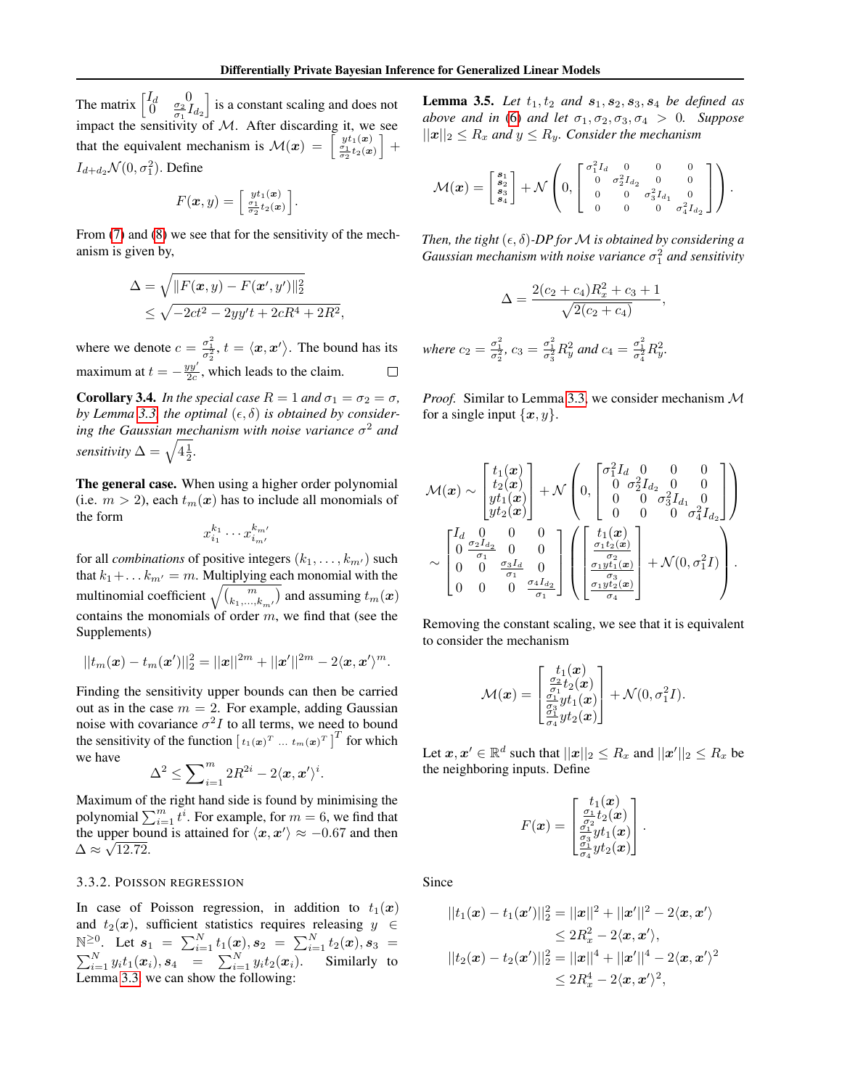The matrix  $\begin{bmatrix} I_d & 0 \\ 0 & \frac{\sigma_2}{\sigma_1} I_{d_2} \end{bmatrix}$  is a constant scaling and does not impact the sensitivity of  $M$ . After discarding it, we see that the equivalent mechanism is  $\mathcal{M}(x) = \begin{bmatrix} y t_1(x) \\ \frac{\sigma_1}{\sigma_2} t_2(x) \end{bmatrix} +$  $I_{d+d_2} \mathcal{N}(0, \sigma_1^2)$ . Define

$$
F(\boldsymbol{x},y) = \begin{bmatrix} \frac{yt_1(\boldsymbol{x})}{\sigma_1} \\ \frac{\sigma_1}{\sigma_2}t_2(\boldsymbol{x}) \end{bmatrix}.
$$

From  $(7)$  and  $(8)$  we see that for the sensitivity of the mechanism is given by,

$$
\Delta = \sqrt{||F(\mathbf{x}, y) - F(\mathbf{x}', y')||_2^2}
$$
  
 
$$
\leq \sqrt{-2ct^2 - 2yy't + 2cR^4 + 2R^2},
$$

where we denote  $c = \frac{\sigma_1^2}{\sigma_2^2}$ ,  $t = \langle x, x' \rangle$ . The bound has its maximum at  $t = -\frac{yy'}{2c}$ , which leads to the claim.

<span id="page-6-0"></span>**Corollary 3.4.** *In the special case*  $R = 1$  *and*  $\sigma_1 = \sigma_2 = \sigma$ *,* by Lemma [3.3,](#page-5-6) the optimal  $(\epsilon, \delta)$  is obtained by consider*ing the Gaussian mechanism with noise variance* σ <sup>2</sup> *and sensitivity*  $\Delta = \sqrt{4\frac{1}{2}}$ .

The general case. When using a higher order polynomial (i.e.  $m > 2$ ), each  $t_m(x)$  has to include all monomials of the form

$$
x_{i_1}^{k_1} \cdots x_{i_{m'}}^{k_{m'}}
$$

for all *combinations* of positive integers  $(k_1, \ldots, k_{m'})$  such that  $k_1 + \ldots k_{m'} = m$ . Multiplying each monomial with the multinomial coefficient  $\sqrt{\binom{m}{k_1,...,k_m\prime}}$  and assuming  $t_m(\boldsymbol{x})$ contains the monomials of order  $m$ , we find that (see the Supplements)

$$
||t_m(\bm{x}) - t_m(\bm{x}')||_2^2 = ||\bm{x}||^{2m} + ||\bm{x}'||^{2m} - 2\langle \bm{x}, \bm{x}' \rangle^m.
$$

Finding the sensitivity upper bounds can then be carried out as in the case  $m = 2$ . For example, adding Gaussian noise with covariance  $\sigma^2 I$  to all terms, we need to bound the sensitivity of the function  $[t_1(\boldsymbol{x})^T \dots t_m(\boldsymbol{x})^T]^T$  for which we have

$$
\Delta^2 \le \sum\nolimits_{i=1}^m 2R^{2i} - 2\langle \boldsymbol{x}, \boldsymbol{x}' \rangle^i.
$$

Maximum of the right hand side is found by minimising the polynomial  $\sum_{i=1}^{m} t^{i}$ . For example, for  $m = 6$ , we find that the upper bound is attained for  $\langle x, x' \rangle \approx -0.67$  and then  $\Delta \approx \sqrt{12.72}.$ 

#### 3.3.2. POISSON REGRESSION

In case of Poisson regression, in addition to  $t_1(x)$ and  $t_2(x)$ , sufficient statistics requires releasing  $y \in$ N<sup>≥0</sup>. Let  $s_1 = \sum_{i=1}^{N} t_1(x), s_2 = \sum_{i=1}^{N} t_2(x), s_3 =$  $\sum_{i=1}^{N} y_i t_1(\boldsymbol{x}_i), \boldsymbol{s}_4 = \sum_{i=1}^{N} y_i t_2(\boldsymbol{x}_i)$ . Similarly to Lemma [3.3,](#page-5-6) we can show the following:

**Lemma 3.5.** *Let*  $t_1, t_2$  *and*  $s_1, s_2, s_3, s_4$  *be defined as above and in* [\(6\)](#page-5-3) *and let*  $\sigma_1, \sigma_2, \sigma_3, \sigma_4 > 0$ *. Suppose*  $||x||_2 \leq R_x$  and  $y \leq R_y$ . Consider the mechanism

$$
\mathcal{M}(\boldsymbol{x}) = \begin{bmatrix} s_1 \\ s_2 \\ s_3 \\ s_4 \end{bmatrix} + \mathcal{N} \left( 0, \begin{bmatrix} \sigma_1^2 I_d & 0 & 0 & 0 \\ 0 & \sigma_2^2 I_{d_2} & 0 & 0 \\ 0 & 0 & \sigma_3^2 I_{d_1} & 0 \\ 0 & 0 & 0 & \sigma_4^2 I_{d_2} \end{bmatrix} \right).
$$

*Then, the tight*  $(\epsilon, \delta)$ -*DP for M is obtained by considering a Gaussian mechanism with noise variance* σ 2 <sup>1</sup> *and sensitivity*

$$
\Delta = \frac{2(c_2 + c_4)R_x^2 + c_3 + 1}{\sqrt{2(c_2 + c_4)}}
$$

,

*where*  $c_2 = \frac{\sigma_1^2}{\sigma_2^2}$ ,  $c_3 = \frac{\sigma_1^2}{\sigma_3^2} R_y^2$  and  $c_4 = \frac{\sigma_1^2}{\sigma_4^2} R_y^2$ .

*Proof.* Similar to Lemma [3.3,](#page-5-6) we consider mechanism M for a single input  $\{x, y\}.$ 

$$
\mathcal{M}(\pmb{x}) \sim \begin{bmatrix} t_1(\pmb{x}) \\ t_2(\pmb{x}) \\ yt_1(\pmb{x}) \\ yt_2(\pmb{x}) \end{bmatrix} + \mathcal{N} \begin{pmatrix} 0, \begin{bmatrix} \sigma_1^2 I_d & 0 & 0 & 0 \\ 0 & \sigma_2^2 I_{d_2} & 0 & 0 \\ 0 & 0 & \sigma_3^2 I_{d_1} & 0 \\ 0 & 0 & 0 & \sigma_4^2 I_{d_2} \end{bmatrix} \end{bmatrix}
$$

$$
\sim \begin{bmatrix} I_d & 0 & 0 & 0 \\ 0 & \frac{\sigma_2 I_d}{\sigma_1} & 0 & 0 \\ 0 & 0 & \frac{\sigma_3 I_d}{\sigma_1} & 0 \\ 0 & 0 & 0 & \frac{\sigma_4 I_d}{\sigma_1} \end{bmatrix} \left( \begin{bmatrix} t_1(\pmb{x}) \\ \frac{\sigma_1 t_2(\pmb{x})}{\sigma_2} \\ \frac{\sigma_1 y I_1(\pmb{x})}{\sigma_4} \end{bmatrix} + \mathcal{N}(0, \sigma_1^2 I) \right).
$$

Removing the constant scaling, we see that it is equivalent to consider the mechanism

$$
\mathcal{M}(\boldsymbol{x}) = \begin{bmatrix} t_1(\boldsymbol{x}) \\ \frac{\sigma_2}{\sigma_1} t_2(\boldsymbol{x}) \\ \frac{\sigma_1}{\sigma_3} y t_1(\boldsymbol{x}) \\ \frac{\sigma_3}{\sigma_4} y t_2(\boldsymbol{x}) \end{bmatrix} + \mathcal{N}(0, \sigma_1^2 I).
$$

Let  $\boldsymbol{x}, \boldsymbol{x}' \in \mathbb{R}^d$  such that  $||\boldsymbol{x}||_2 \leq R_x$  and  $||\boldsymbol{x}'||_2 \leq R_x$  be the neighboring inputs. Define

$$
F(\boldsymbol{x}) = \begin{bmatrix} t_1(\boldsymbol{x}) \\ \frac{\sigma_1}{\sigma_2} t_2(\boldsymbol{x}) \\ \frac{\sigma_1}{\sigma_3} y t_1(\boldsymbol{x}) \\ \frac{\sigma_1}{\sigma_4} y t_2(\boldsymbol{x}) \end{bmatrix}.
$$

Since

$$
||t_1(\boldsymbol{x}) - t_1(\boldsymbol{x}')||_2^2 = ||\boldsymbol{x}||^2 + ||\boldsymbol{x}'||^2 - 2\langle \boldsymbol{x}, \boldsymbol{x}' \rangle
$$
  
\n
$$
\leq 2R_x^2 - 2\langle \boldsymbol{x}, \boldsymbol{x}' \rangle,
$$
  
\n
$$
||t_2(\boldsymbol{x}) - t_2(\boldsymbol{x}')||_2^2 = ||\boldsymbol{x}||^4 + ||\boldsymbol{x}'||^4 - 2\langle \boldsymbol{x}, \boldsymbol{x}' \rangle^2
$$
  
\n
$$
\leq 2R_x^4 - 2\langle \boldsymbol{x}, \boldsymbol{x}' \rangle^2,
$$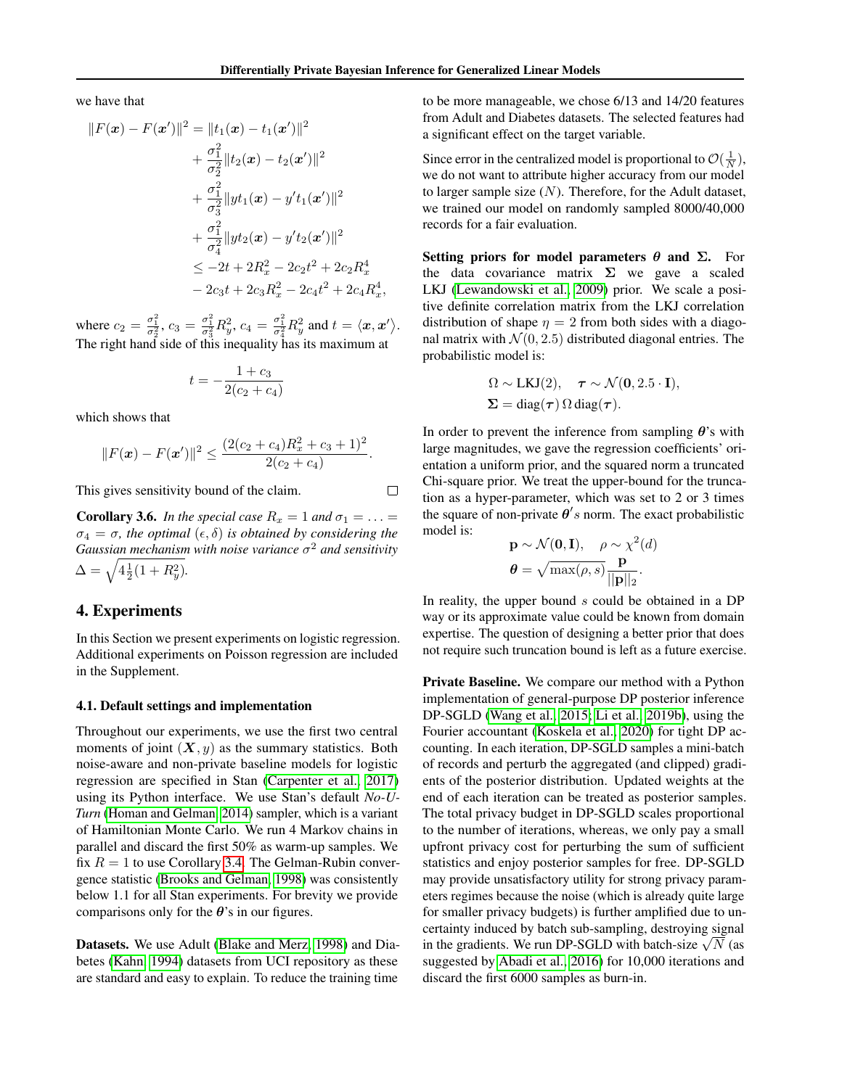,

 $\Box$ 

we have that

$$
||F(\mathbf{x}) - F(\mathbf{x}')||^2 = ||t_1(\mathbf{x}) - t_1(\mathbf{x}')||^2
$$
  
+  $\frac{\sigma_1^2}{\sigma_2^2} ||t_2(\mathbf{x}) - t_2(\mathbf{x}')||^2$   
+  $\frac{\sigma_1^2}{\sigma_3^2} ||yt_1(\mathbf{x}) - y't_1(\mathbf{x}')||^2$   
+  $\frac{\sigma_1^2}{\sigma_4^2} ||yt_2(\mathbf{x}) - y't_2(\mathbf{x}')||^2$   
 $\leq -2t + 2R_x^2 - 2c_2t^2 + 2c_2R_x^4$   
-  $2c_3t + 2c_3R_x^2 - 2c_4t^2 + 2c_4R_x^4$ 

where  $c_2 = \frac{\sigma_1^2}{\sigma_2^2}$ ,  $c_3 = \frac{\sigma_1^2}{\sigma_3^2} R_y^2$ ,  $c_4 = \frac{\sigma_1^2}{\sigma_4^2} R_y^2$  and  $t = \langle x, x' \rangle$ . The right hand side of this inequality has its maximum at

$$
t = -\frac{1 + c_3}{2(c_2 + c_4)}
$$

which shows that

$$
||F(\boldsymbol{x}) - F(\boldsymbol{x}')||^2 \leq \frac{(2(c_2 + c_4)R_x^2 + c_3 + 1)^2}{2(c_2 + c_4)}.
$$

This gives sensitivity bound of the claim.

**Corollary 3.6.** *In the special case*  $R_x = 1$  *and*  $\sigma_1 = \ldots =$  $\sigma_4 = \sigma$ , the optimal  $(\epsilon, \delta)$  is obtained by considering the *Gaussian mechanism with noise variance* σ <sup>2</sup> *and sensitivity*  $\Delta = \sqrt{4\frac{1}{2}(1+R_y^2)}$ .

# 4. Experiments

In this Section we present experiments on logistic regression. Additional experiments on Poisson regression are included in the Supplement.

### 4.1. Default settings and implementation

Throughout our experiments, we use the first two central moments of joint  $(X, y)$  as the summary statistics. Both noise-aware and non-private baseline models for logistic regression are specified in Stan [\(Carpenter et al., 2017\)](#page-10-16) using its Python interface. We use Stan's default *No-U-Turn* [\(Homan and Gelman, 2014\)](#page-10-17) sampler, which is a variant of Hamiltonian Monte Carlo. We run 4 Markov chains in parallel and discard the first 50% as warm-up samples. We fix  $R = 1$  to use Corollary [3.4.](#page-6-0) The Gelman-Rubin convergence statistic [\(Brooks and Gelman, 1998\)](#page-10-18) was consistently below 1.1 for all Stan experiments. For brevity we provide comparisons only for the  $\theta$ 's in our figures.

Datasets. We use Adult [\(Blake and Merz, 1998\)](#page-10-19) and Diabetes [\(Kahn, 1994\)](#page-11-15) datasets from UCI repository as these are standard and easy to explain. To reduce the training time

to be more manageable, we chose 6/13 and 14/20 features from Adult and Diabetes datasets. The selected features had a significant effect on the target variable.

Since error in the centralized model is proportional to  $\mathcal{O}(\frac{1}{N})$ , we do not want to attribute higher accuracy from our model to larger sample size  $(N)$ . Therefore, for the Adult dataset, we trained our model on randomly sampled 8000/40,000 records for a fair evaluation.

Setting priors for model parameters  $\theta$  and  $\Sigma$ . For the data covariance matrix  $\Sigma$  we gave a scaled LKJ [\(Lewandowski et al., 2009\)](#page-11-16) prior. We scale a positive definite correlation matrix from the LKJ correlation distribution of shape  $\eta = 2$  from both sides with a diagonal matrix with  $\mathcal{N}(0, 2.5)$  distributed diagonal entries. The probabilistic model is:

$$
\Omega \sim \text{LKJ}(2), \quad \tau \sim \mathcal{N}(\mathbf{0}, 2.5 \cdot \mathbf{I}),
$$
  

$$
\Sigma = \text{diag}(\tau) \, \Omega \, \text{diag}(\tau).
$$

In order to prevent the inference from sampling  $\theta$ 's with large magnitudes, we gave the regression coefficients' orientation a uniform prior, and the squared norm a truncated Chi-square prior. We treat the upper-bound for the truncation as a hyper-parameter, which was set to 2 or 3 times the square of non-private  $\theta$ 's norm. The exact probabilistic model is:

$$
\mathbf{p} \sim \mathcal{N}(\mathbf{0}, \mathbf{I}), \quad \rho \sim \chi^2(d)
$$

$$
\boldsymbol{\theta} = \sqrt{\max(\rho, s)} \frac{\mathbf{p}}{||\mathbf{p}||_2}.
$$

In reality, the upper bound  $s$  could be obtained in a DP way or its approximate value could be known from domain expertise. The question of designing a better prior that does not require such truncation bound is left as a future exercise.

Private Baseline. We compare our method with a Python implementation of general-purpose DP posterior inference DP-SGLD [\(Wang et al., 2015;](#page-11-11) [Li et al., 2019b\)](#page-11-17), using the Fourier accountant [\(Koskela et al., 2020\)](#page-11-18) for tight DP accounting. In each iteration, DP-SGLD samples a mini-batch of records and perturb the aggregated (and clipped) gradients of the posterior distribution. Updated weights at the end of each iteration can be treated as posterior samples. The total privacy budget in DP-SGLD scales proportional to the number of iterations, whereas, we only pay a small upfront privacy cost for perturbing the sum of sufficient statistics and enjoy posterior samples for free. DP-SGLD may provide unsatisfactory utility for strong privacy parameters regimes because the noise (which is already quite large for smaller privacy budgets) is further amplified due to uncertainty induced by batch sub-sampling, destroying signal certainty induced by batch sub-sampling, destroying signal<br>in the gradients. We run DP-SGLD with batch-size  $\sqrt{N}$  (as suggested by [Abadi et al., 2016\)](#page-10-6) for 10,000 iterations and discard the first 6000 samples as burn-in.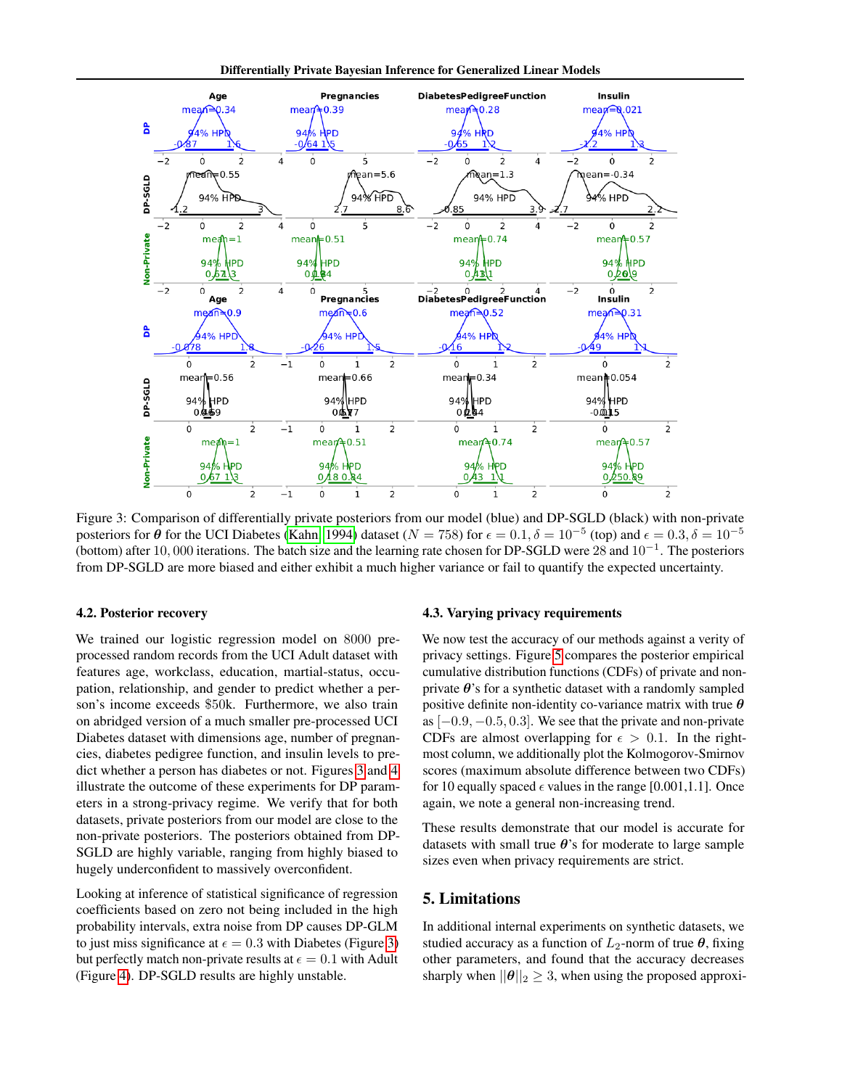Differentially Private Bayesian Inference for Generalized Linear Models

<span id="page-8-0"></span>

Figure 3: Comparison of differentially private posteriors from our model (blue) and DP-SGLD (black) with non-private posteriors for  $\theta$  for the UCI Diabetes [\(Kahn, 1994\)](#page-11-15) dataset ( $N = 758$ ) for  $\epsilon = 0.1$ ,  $\delta = 10^{-5}$  (top) and  $\epsilon = 0.3$ ,  $\delta = 10^{-5}$ (bottom) after 10, 000 iterations. The batch size and the learning rate chosen for DP-SGLD were 28 and 10<sup>−</sup><sup>1</sup> . The posteriors from DP-SGLD are more biased and either exhibit a much higher variance or fail to quantify the expected uncertainty.

#### 4.2. Posterior recovery

We trained our logistic regression model on 8000 preprocessed random records from the UCI Adult dataset with features age, workclass, education, martial-status, occupation, relationship, and gender to predict whether a person's income exceeds \$50k. Furthermore, we also train on abridged version of a much smaller pre-processed UCI Diabetes dataset with dimensions age, number of pregnancies, diabetes pedigree function, and insulin levels to predict whether a person has diabetes or not. Figures [3](#page-8-0) and [4](#page-9-0) illustrate the outcome of these experiments for DP parameters in a strong-privacy regime. We verify that for both datasets, private posteriors from our model are close to the non-private posteriors. The posteriors obtained from DP-SGLD are highly variable, ranging from highly biased to hugely underconfident to massively overconfident.

Looking at inference of statistical significance of regression coefficients based on zero not being included in the high probability intervals, extra noise from DP causes DP-GLM to just miss significance at  $\epsilon = 0.3$  with Diabetes (Figure [3\)](#page-8-0) but perfectly match non-private results at  $\epsilon = 0.1$  with Adult (Figure [4\)](#page-9-0). DP-SGLD results are highly unstable.

## 4.3. Varying privacy requirements

We now test the accuracy of our methods against a verity of privacy settings. Figure [5](#page-9-1) compares the posterior empirical cumulative distribution functions (CDFs) of private and nonprivate  $\theta$ 's for a synthetic dataset with a randomly sampled positive definite non-identity co-variance matrix with true  $\theta$ as  $[-0.9, -0.5, 0.3]$ . We see that the private and non-private CDFs are almost overlapping for  $\epsilon > 0.1$ . In the rightmost column, we additionally plot the Kolmogorov-Smirnov scores (maximum absolute difference between two CDFs) for 10 equally spaced  $\epsilon$  values in the range [0.001,1.1]. Once again, we note a general non-increasing trend.

These results demonstrate that our model is accurate for datasets with small true  $\theta$ 's for moderate to large sample sizes even when privacy requirements are strict.

# 5. Limitations

In additional internal experiments on synthetic datasets, we studied accuracy as a function of  $L_2$ -norm of true  $\theta$ , fixing other parameters, and found that the accuracy decreases sharply when  $||\boldsymbol{\theta}||_2 \geq 3$ , when using the proposed approxi-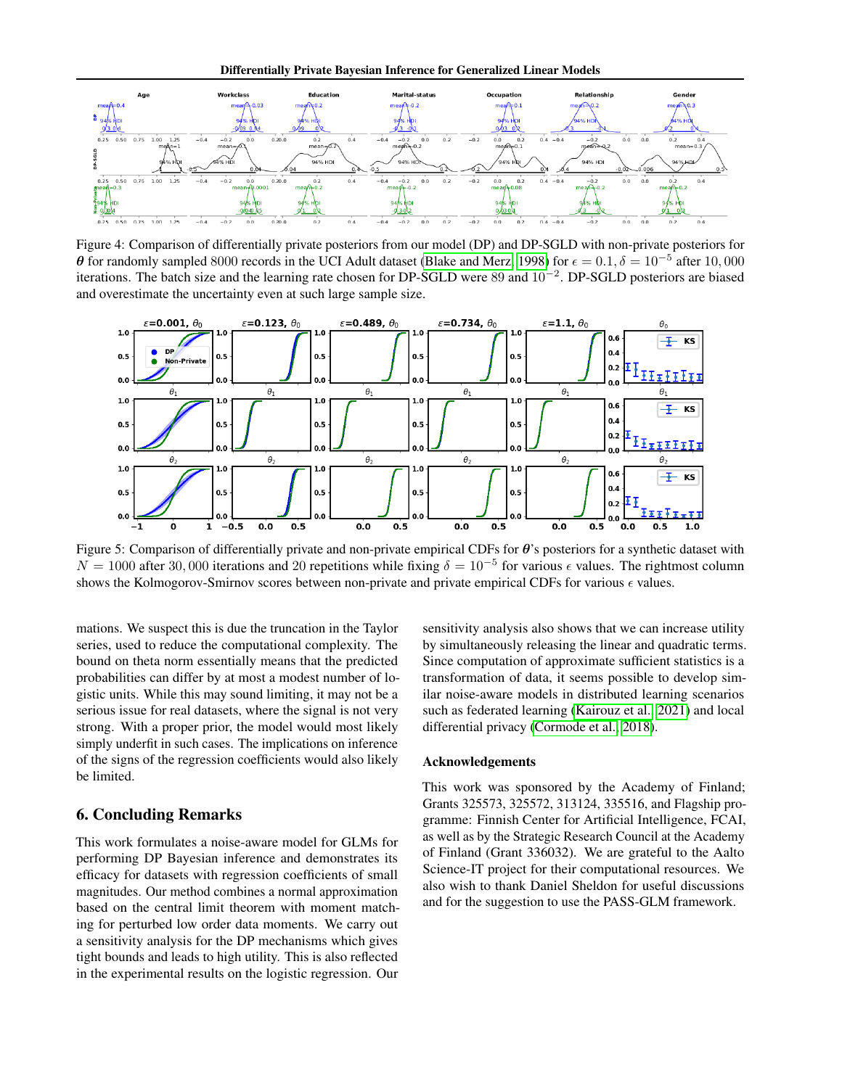Differentially Private Bayesian Inference for Generalized Linear Models

<span id="page-9-0"></span>

Figure 4: Comparison of differentially private posteriors from our model (DP) and DP-SGLD with non-private posteriors for  $\theta$  for randomly sampled 8000 records in the UCI Adult dataset [\(Blake and Merz, 1998\)](#page-10-19) for  $\epsilon = 0.1, \delta = 10^{-5}$  after 10,000 iterations. The batch size and the learning rate chosen for DP-SGLD were 89 and 10−<sup>2</sup> . DP-SGLD posteriors are biased and overestimate the uncertainty even at such large sample size.

<span id="page-9-1"></span>

Figure 5: Comparison of differentially private and non-private empirical CDFs for  $\theta$ 's posteriors for a synthetic dataset with  $N = 1000$  after 30,000 iterations and 20 repetitions while fixing  $\delta = 10^{-5}$  for various  $\epsilon$  values. The rightmost column shows the Kolmogorov-Smirnov scores between non-private and private empirical CDFs for various  $\epsilon$  values.

mations. We suspect this is due the truncation in the Taylor series, used to reduce the computational complexity. The bound on theta norm essentially means that the predicted probabilities can differ by at most a modest number of logistic units. While this may sound limiting, it may not be a serious issue for real datasets, where the signal is not very strong. With a proper prior, the model would most likely simply underfit in such cases. The implications on inference of the signs of the regression coefficients would also likely be limited.

# 6. Concluding Remarks

This work formulates a noise-aware model for GLMs for performing DP Bayesian inference and demonstrates its efficacy for datasets with regression coefficients of small magnitudes. Our method combines a normal approximation based on the central limit theorem with moment matching for perturbed low order data moments. We carry out a sensitivity analysis for the DP mechanisms which gives tight bounds and leads to high utility. This is also reflected in the experimental results on the logistic regression. Our

sensitivity analysis also shows that we can increase utility by simultaneously releasing the linear and quadratic terms. Since computation of approximate sufficient statistics is a transformation of data, it seems possible to develop similar noise-aware models in distributed learning scenarios such as federated learning [\(Kairouz et al., 2021\)](#page-11-19) and local differential privacy [\(Cormode et al., 2018\)](#page-10-20).

### Acknowledgements

This work was sponsored by the Academy of Finland; Grants 325573, 325572, 313124, 335516, and Flagship programme: Finnish Center for Artificial Intelligence, FCAI, as well as by the Strategic Research Council at the Academy of Finland (Grant 336032). We are grateful to the Aalto Science-IT project for their computational resources. We also wish to thank Daniel Sheldon for useful discussions and for the suggestion to use the PASS-GLM framework.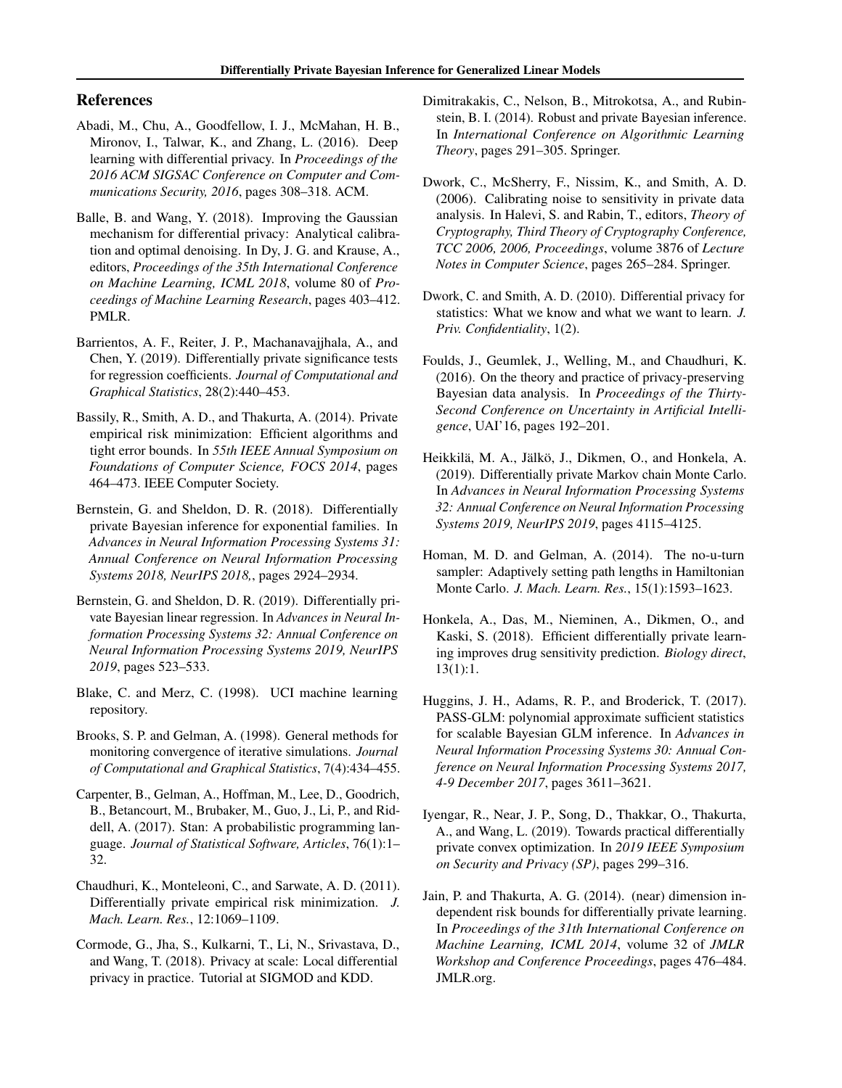# References

- <span id="page-10-6"></span>Abadi, M., Chu, A., Goodfellow, I. J., McMahan, H. B., Mironov, I., Talwar, K., and Zhang, L. (2016). Deep learning with differential privacy. In *Proceedings of the 2016 ACM SIGSAC Conference on Computer and Communications Security, 2016*, pages 308–318. ACM.
- <span id="page-10-14"></span>Balle, B. and Wang, Y. (2018). Improving the Gaussian mechanism for differential privacy: Analytical calibration and optimal denoising. In Dy, J. G. and Krause, A., editors, *Proceedings of the 35th International Conference on Machine Learning, ICML 2018*, volume 80 of *Proceedings of Machine Learning Research*, pages 403–412. PMLR.
- <span id="page-10-8"></span>Barrientos, A. F., Reiter, J. P., Machanavajjhala, A., and Chen, Y. (2019). Differentially private significance tests for regression coefficients. *Journal of Computational and Graphical Statistics*, 28(2):440–453.
- <span id="page-10-5"></span>Bassily, R., Smith, A. D., and Thakurta, A. (2014). Private empirical risk minimization: Efficient algorithms and tight error bounds. In *55th IEEE Annual Symposium on Foundations of Computer Science, FOCS 2014*, pages 464–473. IEEE Computer Society.
- <span id="page-10-1"></span>Bernstein, G. and Sheldon, D. R. (2018). Differentially private Bayesian inference for exponential families. In *Advances in Neural Information Processing Systems 31: Annual Conference on Neural Information Processing Systems 2018, NeurIPS 2018,*, pages 2924–2934.
- <span id="page-10-2"></span>Bernstein, G. and Sheldon, D. R. (2019). Differentially private Bayesian linear regression. In *Advances in Neural Information Processing Systems 32: Annual Conference on Neural Information Processing Systems 2019, NeurIPS 2019*, pages 523–533.
- <span id="page-10-19"></span>Blake, C. and Merz, C. (1998). UCI machine learning repository.
- <span id="page-10-18"></span>Brooks, S. P. and Gelman, A. (1998). General methods for monitoring convergence of iterative simulations. *Journal of Computational and Graphical Statistics*, 7(4):434–455.
- <span id="page-10-16"></span>Carpenter, B., Gelman, A., Hoffman, M., Lee, D., Goodrich, B., Betancourt, M., Brubaker, M., Guo, J., Li, P., and Riddell, A. (2017). Stan: A probabilistic programming language. *Journal of Statistical Software, Articles*, 76(1):1– 32.
- <span id="page-10-3"></span>Chaudhuri, K., Monteleoni, C., and Sarwate, A. D. (2011). Differentially private empirical risk minimization. *J. Mach. Learn. Res.*, 12:1069–1109.
- <span id="page-10-20"></span>Cormode, G., Jha, S., Kulkarni, T., Li, N., Srivastava, D., and Wang, T. (2018). Privacy at scale: Local differential privacy in practice. Tutorial at SIGMOD and KDD.
- <span id="page-10-12"></span>Dimitrakakis, C., Nelson, B., Mitrokotsa, A., and Rubinstein, B. I. (2014). Robust and private Bayesian inference. In *International Conference on Algorithmic Learning Theory*, pages 291–305. Springer.
- <span id="page-10-0"></span>Dwork, C., McSherry, F., Nissim, K., and Smith, A. D. (2006). Calibrating noise to sensitivity in private data analysis. In Halevi, S. and Rabin, T., editors, *Theory of Cryptography, Third Theory of Cryptography Conference, TCC 2006, 2006, Proceedings*, volume 3876 of *Lecture Notes in Computer Science*, pages 265–284. Springer.
- <span id="page-10-7"></span>Dwork, C. and Smith, A. D. (2010). Differential privacy for statistics: What we know and what we want to learn. *J. Priv. Confidentiality*, 1(2).
- <span id="page-10-10"></span>Foulds, J., Geumlek, J., Welling, M., and Chaudhuri, K. (2016). On the theory and practice of privacy-preserving Bayesian data analysis. In *Proceedings of the Thirty-Second Conference on Uncertainty in Artificial Intelligence*, UAI'16, pages 192–201.
- <span id="page-10-13"></span>Heikkilä, M. A., Jälkö, J., Dikmen, O., and Honkela, A. (2019). Differentially private Markov chain Monte Carlo. In *Advances in Neural Information Processing Systems 32: Annual Conference on Neural Information Processing Systems 2019, NeurIPS 2019*, pages 4115–4125.
- <span id="page-10-17"></span>Homan, M. D. and Gelman, A. (2014). The no-u-turn sampler: Adaptively setting path lengths in Hamiltonian Monte Carlo. *J. Mach. Learn. Res.*, 15(1):1593–1623.
- <span id="page-10-11"></span>Honkela, A., Das, M., Nieminen, A., Dikmen, O., and Kaski, S. (2018). Efficient differentially private learning improves drug sensitivity prediction. *Biology direct*, 13(1):1.
- <span id="page-10-15"></span>Huggins, J. H., Adams, R. P., and Broderick, T. (2017). PASS-GLM: polynomial approximate sufficient statistics for scalable Bayesian GLM inference. In *Advances in Neural Information Processing Systems 30: Annual Conference on Neural Information Processing Systems 2017, 4-9 December 2017*, pages 3611–3621.
- <span id="page-10-4"></span>Iyengar, R., Near, J. P., Song, D., Thakkar, O., Thakurta, A., and Wang, L. (2019). Towards practical differentially private convex optimization. In *2019 IEEE Symposium on Security and Privacy (SP)*, pages 299–316.
- <span id="page-10-9"></span>Jain, P. and Thakurta, A. G. (2014). (near) dimension independent risk bounds for differentially private learning. In *Proceedings of the 31th International Conference on Machine Learning, ICML 2014*, volume 32 of *JMLR Workshop and Conference Proceedings*, pages 476–484. JMLR.org.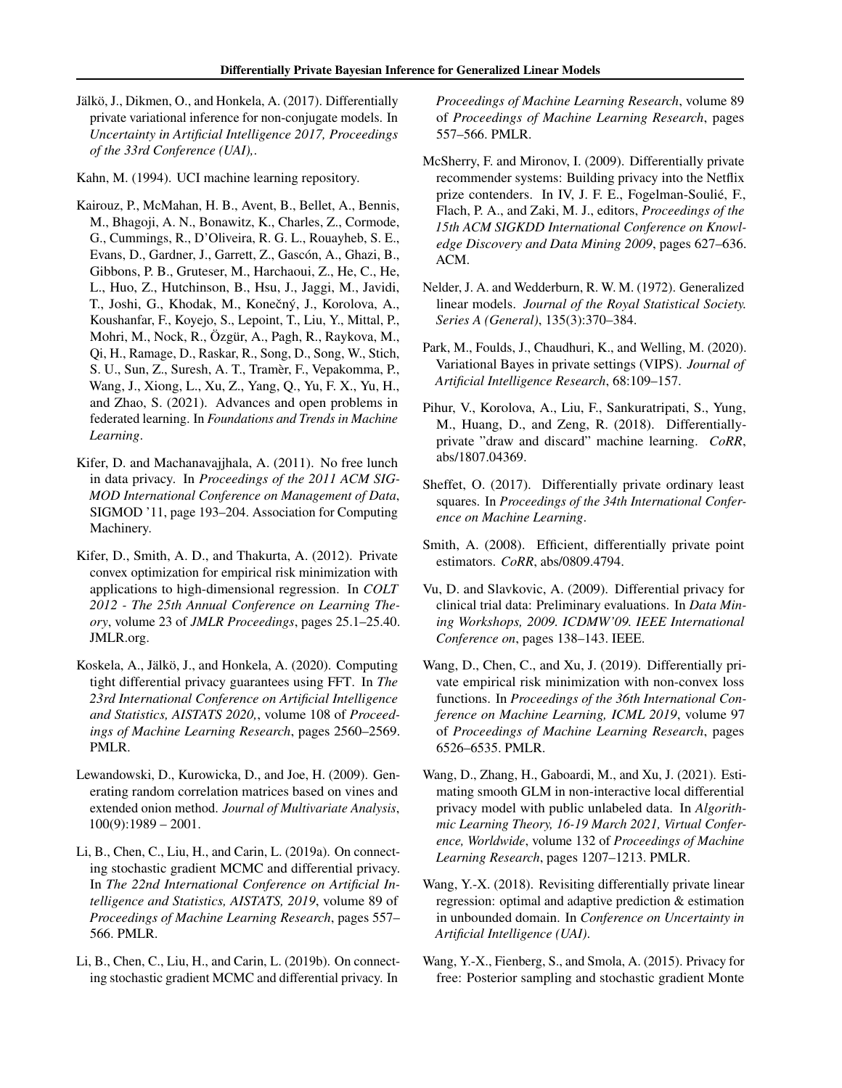<span id="page-11-13"></span>Jälkö, J., Dikmen, O., and Honkela, A. (2017). Differentially private variational inference for non-conjugate models. In *Uncertainty in Artificial Intelligence 2017, Proceedings of the 33rd Conference (UAI),*.

<span id="page-11-15"></span>Kahn, M. (1994). UCI machine learning repository.

- <span id="page-11-19"></span>Kairouz, P., McMahan, H. B., Avent, B., Bellet, A., Bennis, M., Bhagoji, A. N., Bonawitz, K., Charles, Z., Cormode, G., Cummings, R., D'Oliveira, R. G. L., Rouayheb, S. E., Evans, D., Gardner, J., Garrett, Z., Gascón, A., Ghazi, B., Gibbons, P. B., Gruteser, M., Harchaoui, Z., He, C., He, L., Huo, Z., Hutchinson, B., Hsu, J., Jaggi, M., Javidi, T., Joshi, G., Khodak, M., Konečný, J., Korolova, A., Koushanfar, F., Koyejo, S., Lepoint, T., Liu, Y., Mittal, P., Mohri, M., Nock, R., Ozgür, A., Pagh, R., Raykova, M., Qi, H., Ramage, D., Raskar, R., Song, D., Song, W., Stich, S. U., Sun, Z., Suresh, A. T., Tramer, F., Vepakomma, P., ` Wang, J., Xiong, L., Xu, Z., Yang, Q., Yu, F. X., Yu, H., and Zhao, S. (2021). Advances and open problems in federated learning. In *Foundations and Trends in Machine Learning*.
- <span id="page-11-0"></span>Kifer, D. and Machanavajjhala, A. (2011). No free lunch in data privacy. In *Proceedings of the 2011 ACM SIG-MOD International Conference on Management of Data*, SIGMOD '11, page 193–204. Association for Computing Machinery.
- <span id="page-11-6"></span>Kifer, D., Smith, A. D., and Thakurta, A. (2012). Private convex optimization for empirical risk minimization with applications to high-dimensional regression. In *COLT 2012 - The 25th Annual Conference on Learning Theory*, volume 23 of *JMLR Proceedings*, pages 25.1–25.40. JMLR.org.
- <span id="page-11-18"></span>Koskela, A., Jälkö, J., and Honkela, A. (2020). Computing tight differential privacy guarantees using FFT. In *The 23rd International Conference on Artificial Intelligence and Statistics, AISTATS 2020,*, volume 108 of *Proceedings of Machine Learning Research*, pages 2560–2569. PMLR.
- <span id="page-11-16"></span>Lewandowski, D., Kurowicka, D., and Joe, H. (2009). Generating random correlation matrices based on vines and extended onion method. *Journal of Multivariate Analysis*,  $100(9)$ :1989 – 2001.
- <span id="page-11-12"></span>Li, B., Chen, C., Liu, H., and Carin, L. (2019a). On connecting stochastic gradient MCMC and differential privacy. In *The 22nd International Conference on Artificial Intelligence and Statistics, AISTATS, 2019*, volume 89 of *Proceedings of Machine Learning Research*, pages 557– 566. PMLR.
- <span id="page-11-17"></span>Li, B., Chen, C., Liu, H., and Carin, L. (2019b). On connecting stochastic gradient MCMC and differential privacy. In

*Proceedings of Machine Learning Research*, volume 89 of *Proceedings of Machine Learning Research*, pages 557–566. PMLR.

- <span id="page-11-2"></span>McSherry, F. and Mironov, I. (2009). Differentially private recommender systems: Building privacy into the Netflix prize contenders. In IV, J. F. E., Fogelman-Soulie, F., ´ Flach, P. A., and Zaki, M. J., editors, *Proceedings of the 15th ACM SIGKDD International Conference on Knowledge Discovery and Data Mining 2009*, pages 627–636. ACM.
- <span id="page-11-14"></span>Nelder, J. A. and Wedderburn, R. W. M. (1972). Generalized linear models. *Journal of the Royal Statistical Society. Series A (General)*, 135(3):370–384.
- <span id="page-11-10"></span>Park, M., Foulds, J., Chaudhuri, K., and Welling, M. (2020). Variational Bayes in private settings (VIPS). *Journal of Artificial Intelligence Research*, 68:109–157.
- <span id="page-11-7"></span>Pihur, V., Korolova, A., Liu, F., Sankuratripati, S., Yung, M., Huang, D., and Zeng, R. (2018). Differentiallyprivate "draw and discard" machine learning. *CoRR*, abs/1807.04369.
- <span id="page-11-4"></span>Sheffet, O. (2017). Differentially private ordinary least squares. In *Proceedings of the 34th International Conference on Machine Learning*.
- <span id="page-11-1"></span>Smith, A. (2008). Efficient, differentially private point estimators. *CoRR*, abs/0809.4794.
- <span id="page-11-3"></span>Vu, D. and Slavkovic, A. (2009). Differential privacy for clinical trial data: Preliminary evaluations. In *Data Mining Workshops, 2009. ICDMW'09. IEEE International Conference on*, pages 138–143. IEEE.
- <span id="page-11-8"></span>Wang, D., Chen, C., and Xu, J. (2019). Differentially private empirical risk minimization with non-convex loss functions. In *Proceedings of the 36th International Conference on Machine Learning, ICML 2019*, volume 97 of *Proceedings of Machine Learning Research*, pages 6526–6535. PMLR.
- <span id="page-11-9"></span>Wang, D., Zhang, H., Gaboardi, M., and Xu, J. (2021). Estimating smooth GLM in non-interactive local differential privacy model with public unlabeled data. In *Algorithmic Learning Theory, 16-19 March 2021, Virtual Conference, Worldwide*, volume 132 of *Proceedings of Machine Learning Research*, pages 1207–1213. PMLR.
- <span id="page-11-5"></span>Wang, Y.-X. (2018). Revisiting differentially private linear regression: optimal and adaptive prediction & estimation in unbounded domain. In *Conference on Uncertainty in Artificial Intelligence (UAI)*.
- <span id="page-11-11"></span>Wang, Y.-X., Fienberg, S., and Smola, A. (2015). Privacy for free: Posterior sampling and stochastic gradient Monte